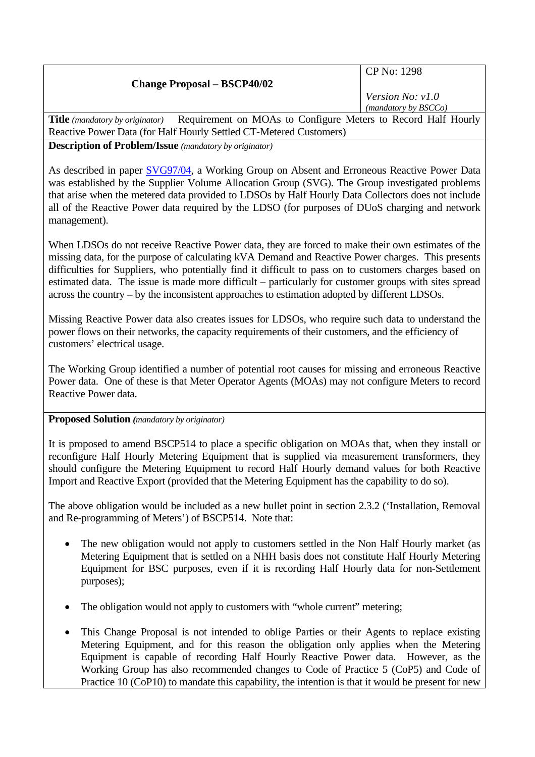| <b>Change Proposal - BSCP40/02</b>                                                                                                            | CP No: 1298                              |
|-----------------------------------------------------------------------------------------------------------------------------------------------|------------------------------------------|
|                                                                                                                                               | Version No: v1.0<br>(mandatory by BSCCo) |
| $D_{\text{coulizement}}$ on $M\Omega_{\text{c}}$ to Configure Motors to Decord Holf Hourly<br>$\text{Titho}$ ( <i>mondatom</i> by originated) |                                          |

**Title** *(mandatory by originator)* Requirement on MOAs to Configure Meters to Record Half Hourly Reactive Power Data (for Half Hourly Settled CT-Metered Customers)

**Description of Problem/Issue** *(mandatory by originator)* 

As described in paper **SVG97/04**, a Working Group on Absent and Erroneous Reactive Power Data was established by the Supplier Volume Allocation Group (SVG). The Group investigated problems that arise when the metered data provided to LDSOs by Half Hourly Data Collectors does not include all of the Reactive Power data required by the LDSO (for purposes of DUoS charging and network management).

When LDSOs do not receive Reactive Power data, they are forced to make their own estimates of the missing data, for the purpose of calculating kVA Demand and Reactive Power charges. This presents difficulties for Suppliers, who potentially find it difficult to pass on to customers charges based on estimated data. The issue is made more difficult – particularly for customer groups with sites spread across the country – by the inconsistent approaches to estimation adopted by different LDSOs.

Missing Reactive Power data also creates issues for LDSOs, who require such data to understand the power flows on their networks, the capacity requirements of their customers, and the efficiency of customers' electrical usage.

The Working Group identified a number of potential root causes for missing and erroneous Reactive Power data. One of these is that Meter Operator Agents (MOAs) may not configure Meters to record Reactive Power data.

## **Proposed Solution** *(mandatory by originator)*

It is proposed to amend BSCP514 to place a specific obligation on MOAs that, when they install or reconfigure Half Hourly Metering Equipment that is supplied via measurement transformers, they should configure the Metering Equipment to record Half Hourly demand values for both Reactive Import and Reactive Export (provided that the Metering Equipment has the capability to do so).

The above obligation would be included as a new bullet point in section 2.3.2 ('Installation, Removal and Re-programming of Meters') of BSCP514. Note that:

- The new obligation would not apply to customers settled in the Non Half Hourly market (as Metering Equipment that is settled on a NHH basis does not constitute Half Hourly Metering Equipment for BSC purposes, even if it is recording Half Hourly data for non-Settlement purposes);
- The obligation would not apply to customers with "whole current" metering;
- This Change Proposal is not intended to oblige Parties or their Agents to replace existing Metering Equipment, and for this reason the obligation only applies when the Metering Equipment is capable of recording Half Hourly Reactive Power data. However, as the Working Group has also recommended changes to Code of Practice 5 (CoP5) and Code of Practice 10 (CoP10) to mandate this capability, the intention is that it would be present for new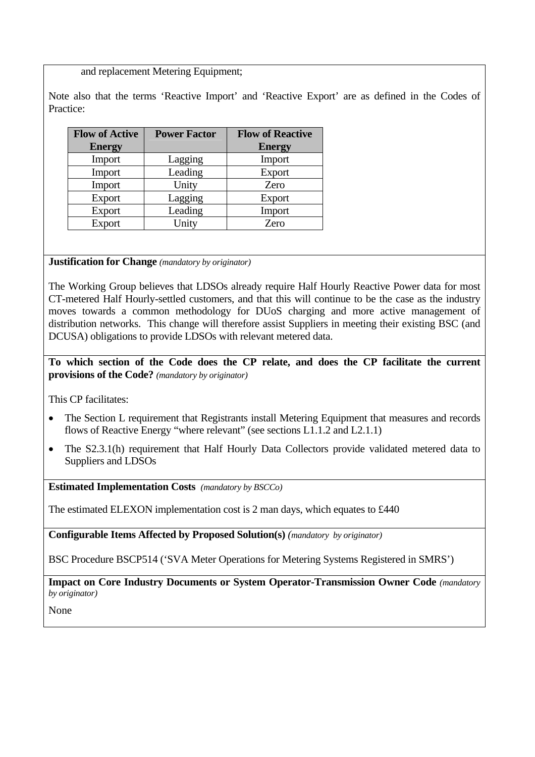and replacement Metering Equipment;

Note also that the terms 'Reactive Import' and 'Reactive Export' are as defined in the Codes of Practice:

| <b>Flow of Active</b> | <b>Power Factor</b> | <b>Flow of Reactive</b> |
|-----------------------|---------------------|-------------------------|
| <b>Energy</b>         |                     | <b>Energy</b>           |
| Import                | Lagging             | Import                  |
| Import                | Leading             | Export                  |
| Import                | Unity               | Zero                    |
| Export                | Lagging             | Export                  |
| Export                | Leading             | Import                  |
| Export                | Unity               | Zero                    |

## **Justification for Change** *(mandatory by originator)*

The Working Group believes that LDSOs already require Half Hourly Reactive Power data for most CT-metered Half Hourly-settled customers, and that this will continue to be the case as the industry moves towards a common methodology for DUoS charging and more active management of distribution networks. This change will therefore assist Suppliers in meeting their existing BSC (and DCUSA) obligations to provide LDSOs with relevant metered data.

**To which section of the Code does the CP relate, and does the CP facilitate the current provisions of the Code?** *(mandatory by originator)* 

This CP facilitates:

- The Section L requirement that Registrants install Metering Equipment that measures and records flows of Reactive Energy "where relevant" (see sections L1.1.2 and L2.1.1)
- The S2.3.1(h) requirement that Half Hourly Data Collectors provide validated metered data to Suppliers and LDSOs

**Estimated Implementation Costs** *(mandatory by BSCCo)* 

The estimated ELEXON implementation cost is 2 man days, which equates to £440

**Configurable Items Affected by Proposed Solution(s)** *(mandatory by originator)* 

BSC Procedure BSCP514 ('SVA Meter Operations for Metering Systems Registered in SMRS')

**Impact on Core Industry Documents or System Operator-Transmission Owner Code** *(mandatory by originator)* 

None